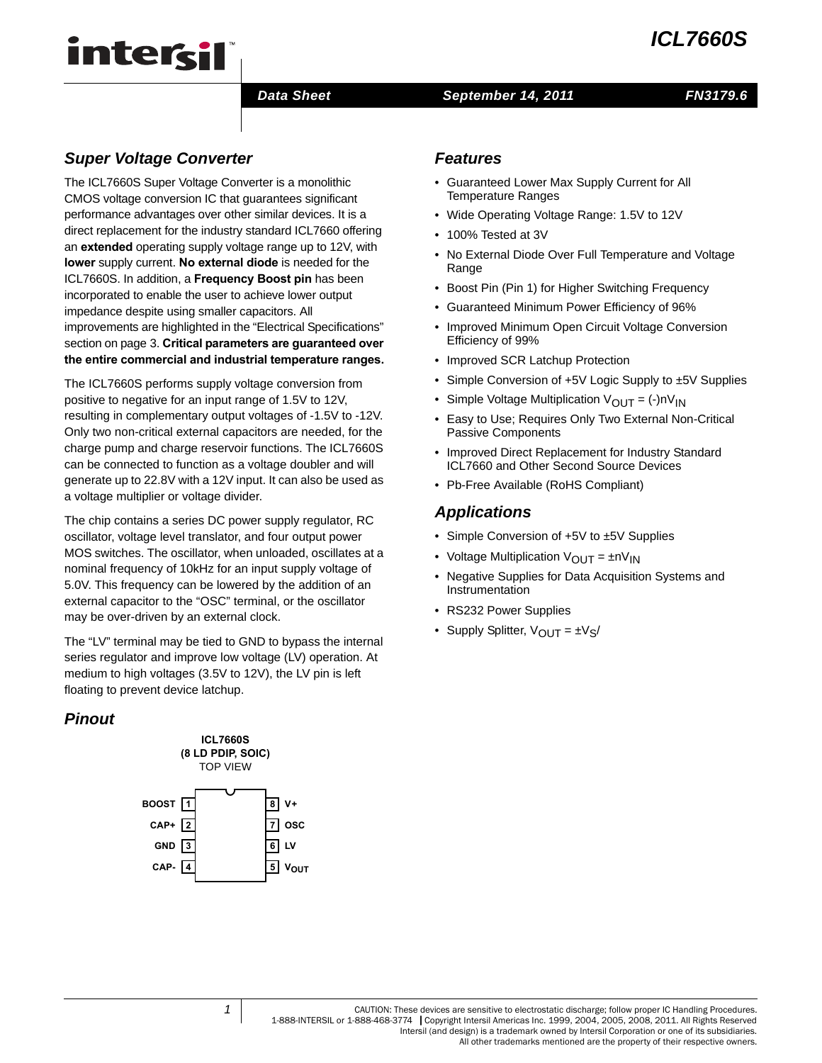# *ICL7660S*

# intersil

# *Data Sheet September 14, 2011*

# *FN3179.6*

# *Super Voltage Converter*

The ICL7660S Super Voltage Converter is a monolithic CMOS voltage conversion IC that guarantees significant performance advantages over other similar devices. It is a direct replacement for the industry standard ICL7660 offering an **extended** operating supply voltage range up to 12V, with **lower** supply current. **No external diode** is needed for the ICL7660S. In addition, a **Frequency Boost pin** has been incorporated to enable the user to achieve lower output impedance despite using smaller capacitors. All improvements are highlighted in the "Electrical Specifications" section on [page 3.](#page-2-0) **Critical parameters are guaranteed over the entire commercial and industrial temperature ranges.**

The ICL7660S performs supply voltage conversion from positive to negative for an input range of 1.5V to 12V, resulting in complementary output voltages of -1.5V to -12V. Only two non-critical external capacitors are needed, for the charge pump and charge reservoir functions. The ICL7660S can be connected to function as a voltage doubler and will generate up to 22.8V with a 12V input. It can also be used as a voltage multiplier or voltage divider.

The chip contains a series DC power supply regulator, RC oscillator, voltage level translator, and four output power MOS switches. The oscillator, when unloaded, oscillates at a nominal frequency of 10kHz for an input supply voltage of 5.0V. This frequency can be lowered by the addition of an external capacitor to the "OSC" terminal, or the oscillator may be over-driven by an external clock.

The "LV" terminal may be tied to GND to bypass the internal series regulator and improve low voltage (LV) operation. At medium to high voltages (3.5V to 12V), the LV pin is left floating to prevent device latchup.

# *Pinout*



# *Features*

- Guaranteed Lower Max Supply Current for All Temperature Ranges
- Wide Operating Voltage Range: 1.5V to 12V
- 100% Tested at 3V
- No External Diode Over Full Temperature and Voltage Range
- Boost Pin (Pin 1) for Higher Switching Frequency
- Guaranteed Minimum Power Efficiency of 96%
- Improved Minimum Open Circuit Voltage Conversion Efficiency of 99%
- Improved SCR Latchup Protection
- Simple Conversion of +5V Logic Supply to ±5V Supplies
- Simple Voltage Multiplication  $V_{\text{OUT}} = (-)N_{\text{IN}}$
- Easy to Use; Requires Only Two External Non-Critical Passive Components
- Improved Direct Replacement for Industry Standard ICL7660 and Other Second Source Devices
- Pb-Free Available (RoHS Compliant)

# *Applications*

- Simple Conversion of +5V to ±5V Supplies
- Voltage Multiplication  $V_{\text{OUT}} = \pm nV_{\text{IN}}$
- Negative Supplies for Data Acquisition Systems and Instrumentation
- RS232 Power Supplies
- Supply Splitter,  $V_{\text{OUT}} = \pm V_{\text{S}}/$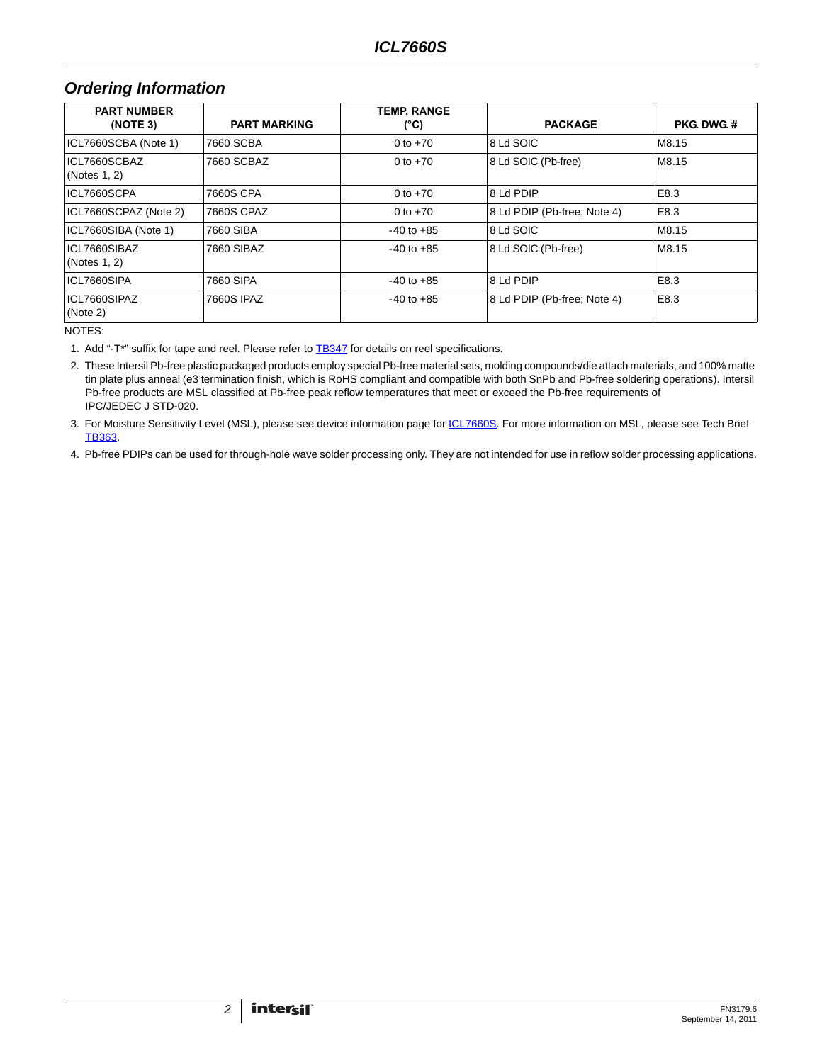# *Ordering Information*

| <b>PART NUMBER</b><br>(NOTE 3) | <b>PART MARKING</b> | <b>TEMP RANGE</b><br>(°C) | <b>PACKAGE</b>              | <b>PKG DWG #</b> |  |
|--------------------------------|---------------------|---------------------------|-----------------------------|------------------|--|
| ICL7660SCBA (Note 1)           | 7660 SCBA           | 0 to $+70$                | 8 Ld SOIC                   | M8.15            |  |
| ICL7660SCBAZ<br>(Notes 1, 2)   | 7660 SCBAZ          | 0 to $+70$                | 8 Ld SOIC (Pb-free)         | M8.15            |  |
| ICL7660SCPA                    | 7660S CPA           | 0 to $+70$                | 8 Ld PDIP                   | E8.3             |  |
| ICL7660SCPAZ (Note 2)          | 7660S CPAZ          | 0 to $+70$                | 8 Ld PDIP (Pb-free: Note 4) | E8.3             |  |
| ICL7660SIBA (Note 1)           | 7660 SIBA           | $-40$ to $+85$            | 8 Ld SOIC                   | M8.15            |  |
| ICL7660SIBAZ<br>(Notes 1, 2)   | 7660 SIBAZ          | $-40$ to $+85$            | 8 Ld SOIC (Pb-free)         | M8.15            |  |
| ICL7660SIPA                    | 7660 SIPA           | $-40$ to $+85$            | 8 Ld PDIP                   | E8.3             |  |
| ICL7660SIPAZ<br>(Note 2)       | 7660S IPAZ          | $-40$ to $+85$            | 8 Ld PDIP (Pb-free; Note 4) | E8.3             |  |

NOTES:

<span id="page-1-0"></span>1. Add "-T\*" suffix for tape and reel. Please refer to **TB347** for details on reel specifications.

<span id="page-1-1"></span>2. These Intersil Pb-free plastic packaged products employ special Pb-free material sets, molding compounds/die attach materials, and 100% matte tin plate plus anneal (e3 termination finish, which is RoHS compliant and compatible with both SnPb and Pb-free soldering operations). Intersil Pb-free products are MSL classified at Pb-free peak reflow temperatures that meet or exceed the Pb-free requirements of IPC/JEDEC J STD-020.

<span id="page-1-3"></span>3. For Moisture Sensitivity Level (MSL), please see device information page for **ICL7660S**. For more information on MSL, please see Tech Brief [TB363](http://www.intersil.com/data/tb/tb363.pdf).

<span id="page-1-2"></span>4. Pb-free PDIPs can be used for through-hole wave solder processing only. They are not intended for use in reflow solder processing applications.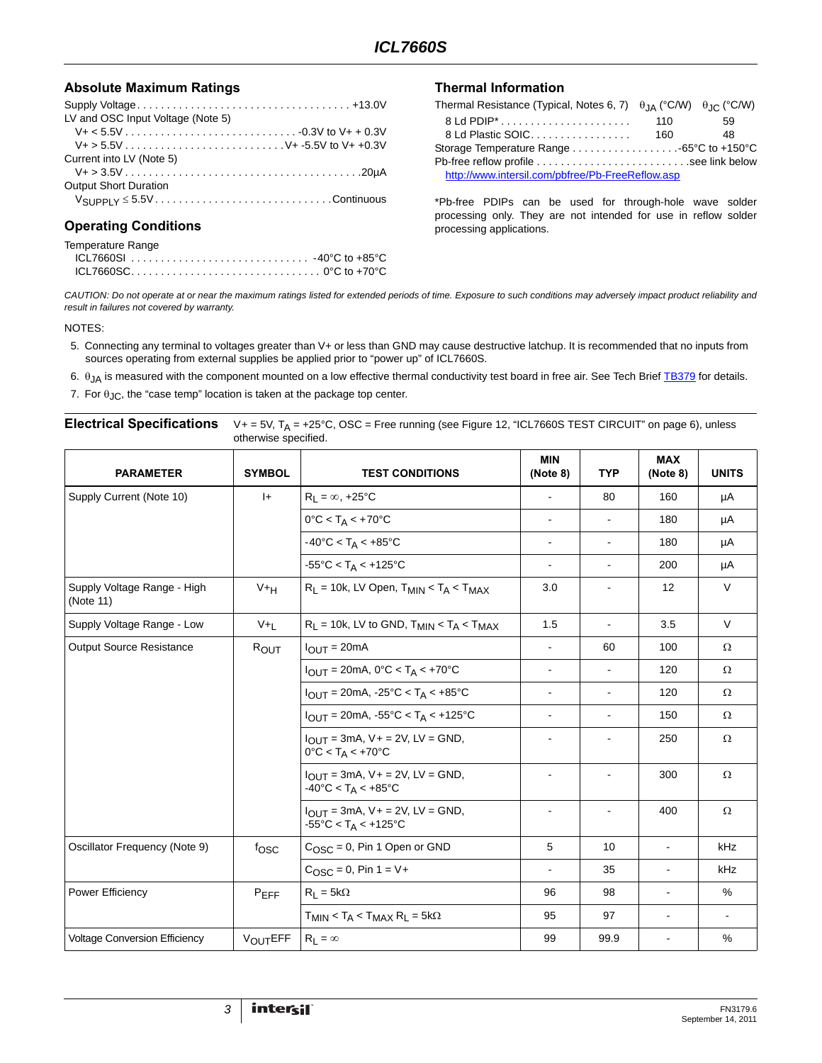# Absolute Maximum Ratings **Thermal Information**

| LV and OSC Input Voltage (Note 5) |
|-----------------------------------|
|                                   |
|                                   |
| Current into LV (Note 5)          |
|                                   |
| <b>Output Short Duration</b>      |
|                                   |
|                                   |

# **Operating Conditions**

| Temperature Range |  |
|-------------------|--|
|                   |  |
|                   |  |

| Thermal Resistance (Typical, Notes 6, 7) $\theta$ $\mu$ (°C/W) $\theta$ $\theta$ (°C/W) |     |    |  |  |  |
|-----------------------------------------------------------------------------------------|-----|----|--|--|--|
|                                                                                         | 110 | 59 |  |  |  |
| 8 Ld Plastic SOIC                                                                       | 160 | 48 |  |  |  |
|                                                                                         |     |    |  |  |  |
|                                                                                         |     |    |  |  |  |
| http://www.intersil.com/pbfree/Pb-FreeReflow.asp                                        |     |    |  |  |  |

\*Pb-free PDIPs can be used for through-hole wave solder processing only. They are not intended for use in reflow solder processing applications.

*CAUTION: Do not operate at or near the maximum ratings listed for extended periods of time. Exposure to such conditions may adversely impact product reliability and result in failures not covered by warranty.*

#### NOTES:

- <span id="page-2-1"></span>5. Connecting any terminal to voltages greater than V+ or less than GND may cause destructive latchup. It is recommended that no inputs from sources operating from external supplies be applied prior to "power up" of ICL7660S.
- <span id="page-2-2"></span>6.  $θ_{JA}$  is measured with the component mounted on a low effective thermal conductivity test board in free air. See Tech Brief [TB379](http://www.intersil.com/data/tb/tb379.pdf) for details.
- <span id="page-2-3"></span>7. For  $\theta_{\text{JC}}$ , the "case temp" location is taken at the package top center.

## <span id="page-2-0"></span>**Electrical Specifications**  $V_+ = 5V$ ,  $T_A = +25^\circ$ C, OSC = Free running (see Figure [12](#page-5-0), ["ICL7660S TEST CIRCUIT" on page 6](#page-5-0)), unless otherwise specified. **PARAMETER SYMBOL TEST CONDITIONS MIN (Note [8](#page-3-0)) TYP MAX (Note [8](#page-3-0)) UNITS** Supply Current (Note [10](#page-3-1)) I+  $\begin{vmatrix} R_1 = \infty, +25^{\circ}C \end{vmatrix}$  - 80 160 µA 0°C < T<sub>A</sub> < +70°C  $\vert$  -  $\vert$  -  $\vert$  180  $\vert$  µA  $-40^{\circ}$ C < T<sub>A</sub> < +85 $^{\circ}$ C  $\qquad \qquad$   $\qquad$   $\qquad$   $\qquad$   $\qquad$   $\qquad$   $\qquad$   $\qquad$   $\qquad$   $\qquad$   $\qquad$   $\qquad$   $\qquad$   $\qquad$   $\qquad$   $\qquad$   $\qquad$   $\qquad$   $\qquad$   $\qquad$   $\qquad$   $\qquad$   $\qquad$   $\qquad$   $\qquad$   $\qquad$   $\qquad$   $\qquad$   $\qquad$   $\qquad$   $\qquad$  -55°C < TA < +125°C - - 200 µA Supply Voltage Range - High (Note [11](#page-3-2))  $V_{\text{H}}$  R<sub>L</sub> = 10k, LV Open, T<sub>MIN</sub> < T<sub>A</sub> < T<sub>MAX</sub> 3.0 - 12 V Supply Voltage Range - Low  $V+L$  R<sub>L</sub> = 10k, LV to GND, T<sub>MIN</sub> < T<sub>A</sub> < T<sub>MAX</sub> 1.5 - 3.5 V Output Source Resistance  $\begin{array}{|c|c|c|c|c|c|}\n\hline\n\text{Output} & \text{Sour} & \text{I}_\mathrm{OUT} & \text{I}_\mathrm{OUT} = 20 \text{mA} & & & & & & & & & 60\end{array}$  60 | 100 | Ω IOUT = 20mA, 0°C < TA < +70°C - - 120 Ω  $I_{\text{OUT}} = 20 \text{mA}$ , -25°C < T<sub>A</sub> < +85°C  $\begin{vmatrix} 1 & 120 & 120 \\ 1 & 120 & 120 \end{vmatrix}$  $I_{\text{OUT}} = 20 \text{mA}$ , -55°C < T<sub>A</sub> < +125°C  $\begin{vmatrix} 1 & 150 & 150 \\ 1 & -1 & -150 \\ 1 & -1 & -150 \end{vmatrix}$  Ω  $I_{OUT} = 3mA$ ,  $V + = 2V$ ,  $LV = GND$ ,  $0^{\circ}$ C < T<sub>A</sub> < +70°C - - 250 Ω  $I_{OUT} = 3mA$ ,  $V + = 2V$ ,  $LV = GND$ ,  $-40^{\circ}$ C < T<sub>A</sub> <  $+85^{\circ}$ C - - 300 Ω  $I_{OUT} = 3mA$ ,  $V + = 2V$ ,  $LV = GND$ ,  $-55^{\circ}$ C < T<sub>A</sub> <  $+125^{\circ}$ C - - 400 Ω Oscillator Frequency (Note [9\)](#page-3-3) fOSC COSC = 0, Pin 1 Open or GND 5 10 - kHz  $C_{\text{OSC}} = 0$ , Pin 1 = V+  $\vert$  -  $\vert$  35  $\vert$  -  $\vert$  kHz Power Efficiency P<sub>EFF</sub> R<sub>L</sub> = 5kΩ 96 98 - %  $T_{MIN}$  <  $T_A$  <  $T_{MAX}$  R<sub>L</sub> = 5kΩ 95 97 - -

Voltage Conversion Efficiency | V<sub>OUT</sub>EFF | R<sub>L</sub> = ∞ 99 | 99.9 | - | %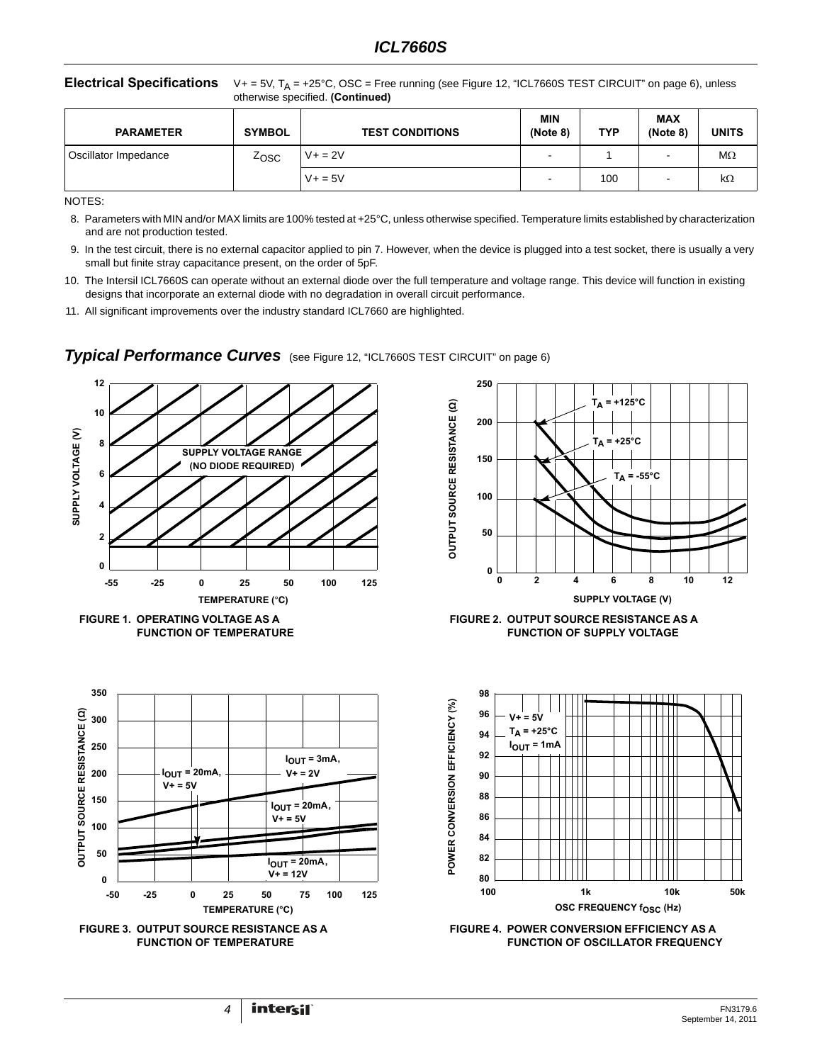### **Electrical Specifications**  $V_+ = 5V$ ,  $T_A = +25^\circ$ C, OSC = Free running (see Figure 12, "ICL7660S TEST CIRCUIT" on page 6), unless otherwise specified. **(Continued)**

| <b>PARAMETER</b>     | <b>SYMBOL</b> | <b>TEST CONDITIONS</b> | <b>MIN</b><br>(Note 8)   | <b>TYP</b> | <b>MAX</b><br>(Note 8) | <b>UNITS</b> |
|----------------------|---------------|------------------------|--------------------------|------------|------------------------|--------------|
| Oscillator Impedance | Zosc          | $V + = 2V$             | $\overline{\phantom{0}}$ |            | -                      | МΩ           |
|                      |               | $V + 5V$               | $\overline{\phantom{0}}$ | 100        |                        | kΩ           |

NOTES:

<span id="page-3-0"></span>8. Parameters with MIN and/or MAX limits are 100% tested at +25°C, unless otherwise specified. Temperature limits established by characterization and are not production tested.

- <span id="page-3-3"></span>9. In the test circuit, there is no external capacitor applied to pin 7. However, when the device is plugged into a test socket, there is usually a very small but finite stray capacitance present, on the order of 5pF.
- <span id="page-3-1"></span>10. The Intersil ICL7660S can operate without an external diode over the full temperature and voltage range. This device will function in existing designs that incorporate an external diode with no degradation in overall circuit performance.
- <span id="page-3-2"></span>11. All significant improvements over the industry standard ICL7660 are highlighted.

<span id="page-3-5"></span><span id="page-3-4"></span>

**Typical Performance Curves** (see Figure [12](#page-5-0), ["ICL7660S TEST CIRCUIT" on page 6](#page-5-0))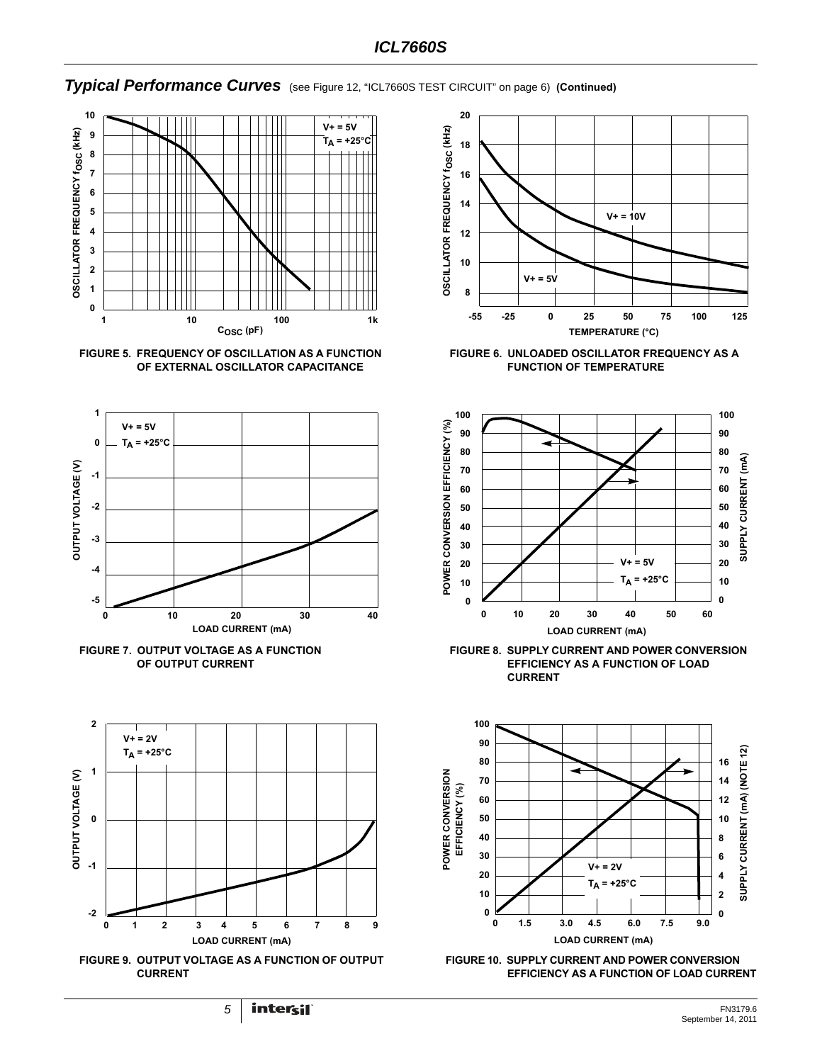# *Typical Performance Curves* (see Figure 12, "ICL7660S TEST CIRCUIT" on page 6) **(Continued)**













**FIGURE 6. UNLOADED OSCILLATOR FREQUENCY AS A FUNCTION OF TEMPERATURE**



**FIGURE 8. SUPPLY CURRENT AND POWER CONVERSION EFFICIENCY AS A FUNCTION OF LOAD CURRENT**



**FIGURE 10. SUPPLY CURRENT AND POWER CONVERSION EFFICIENCY AS A FUNCTION OF LOAD CURRENT**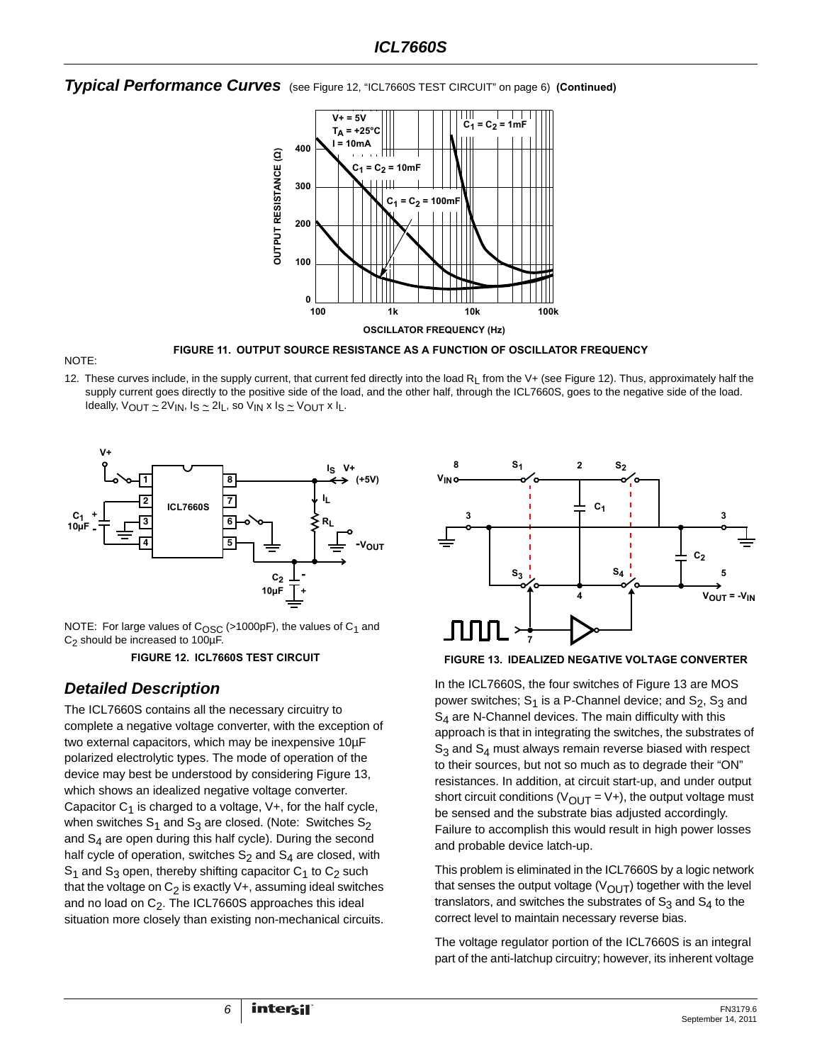# *Typical Performance Curves* (see Figure 12, "ICL7660S TEST CIRCUIT" on page 6) **(Continued)**



<span id="page-5-2"></span>

**FIGURE 11. OUTPUT SOURCE RESISTANCE AS A FUNCTION OF OSCILLATOR FREQUENCY**

[12](#page-5-0). These curves include, in the supply current, that current fed directly into the load  $R_1$  from the V+ (see Figure 12). Thus, approximately half the supply current goes directly to the positive side of the load, and the other half, through the ICL7660S, goes to the negative side of the load. Ideally,  $V_{\text{OUT}} \simeq 2V_{\text{IN}}$ ,  $I_S \simeq 2I_L$ , so  $V_{\text{IN}} \times I_S \simeq V_{\text{OUT}} \times I_L$ .



NOTE: For large values of  $C<sub>OSC</sub>$  (>1000pF), the values of  $C<sub>1</sub>$  and C2 should be increased to 100µF.

**FIGURE 12. ICL7660S TEST CIRCUIT**

# <span id="page-5-0"></span>*Detailed Description*

The ICL7660S contains all the necessary circuitry to complete a negative voltage converter, with the exception of two external capacitors, which may be inexpensive 10µF polarized electrolytic types. The mode of operation of the device may best be understood by considering Figure [13,](#page-5-1) which shows an idealized negative voltage converter. Capacitor  $C_1$  is charged to a voltage,  $V_{+}$ , for the half cycle, when switches  $S_1$  and  $S_3$  are closed. (Note: Switches  $S_2$ and  $S_4$  are open during this half cycle). During the second half cycle of operation, switches  $S_2$  and  $S_4$  are closed, with  $S_1$  and  $S_3$  open, thereby shifting capacitor  $C_1$  to  $C_2$  such that the voltage on  $C_2$  is exactly V+, assuming ideal switches and no load on  $C_2$ . The ICL7660S approaches this ideal situation more closely than existing non-mechanical circuits.



#### <span id="page-5-1"></span>**FIGURE 13. IDEALIZED NEGATIVE VOLTAGE CONVERTER**

In the ICL7660S, the four switches of Figure [13](#page-5-1) are MOS power switches;  $S_1$  is a P-Channel device; and  $S_2$ ,  $S_3$  and  $S_4$  are N-Channel devices. The main difficulty with this approach is that in integrating the switches, the substrates of  $S_3$  and  $S_4$  must always remain reverse biased with respect to their sources, but not so much as to degrade their "ON" resistances. In addition, at circuit start-up, and under output short circuit conditions ( $V_{\text{OUT}} = V+$ ), the output voltage must be sensed and the substrate bias adjusted accordingly. Failure to accomplish this would result in high power losses and probable device latch-up.

This problem is eliminated in the ICL7660S by a logic network that senses the output voltage ( $V_{\text{OUT}}$ ) together with the level translators, and switches the substrates of  $S_3$  and  $S_4$  to the correct level to maintain necessary reverse bias.

The voltage regulator portion of the ICL7660S is an integral part of the anti-latchup circuitry; however, its inherent voltage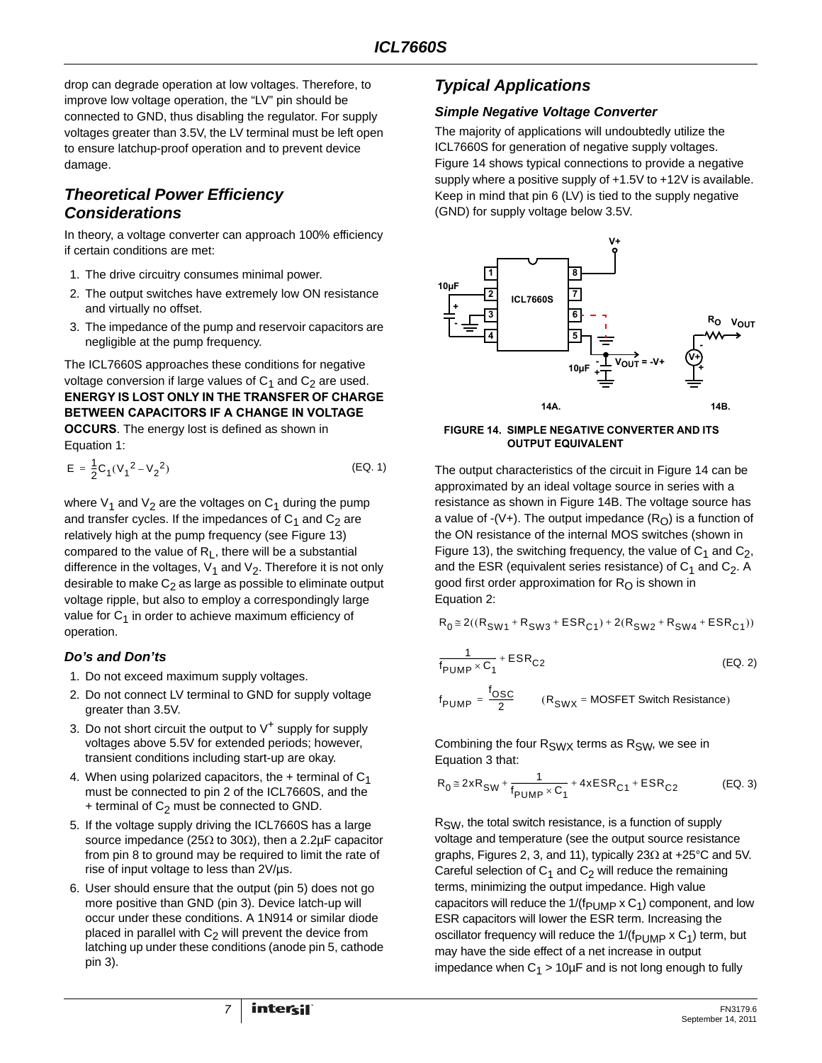drop can degrade operation at low voltages. Therefore, to improve low voltage operation, the "LV" pin should be connected to GND, thus disabling the regulator. For supply voltages greater than 3.5V, the LV terminal must be left open to ensure latchup-proof operation and to prevent device damage.

# *Theoretical Power Efficiency Considerations*

In theory, a voltage converter can approach 100% efficiency if certain conditions are met:

- 1. The drive circuitry consumes minimal power.
- 2. The output switches have extremely low ON resistance and virtually no offset.
- 3. The impedance of the pump and reservoir capacitors are negligible at the pump frequency.

The ICL7660S approaches these conditions for negative voltage conversion if large values of  $C_1$  and  $C_2$  are used. **ENERGY IS LOST ONLY IN THE TRANSFER OF CHARGE BETWEEN CAPACITORS IF A CHANGE IN VOLTAGE OCCURS**. The energy lost is defined as shown in Equation [1:](#page-6-1)

$$
E = \frac{1}{2}C_1(V_1^2 - V_2^2)
$$
 (EQ. 1)

where  $V_1$  and  $V_2$  are the voltages on  $C_1$  during the pump and transfer cycles. If the impedances of  $C_1$  and  $C_2$  are relatively high at the pump frequency (see Figure [13](#page-5-1)) compared to the value of  $R<sub>L</sub>$ , there will be a substantial difference in the voltages,  $V_1$  and  $V_2$ . Therefore it is not only desirable to make  $C_2$  as large as possible to eliminate output voltage ripple, but also to employ a correspondingly large value for  $C_1$  in order to achieve maximum efficiency of operation.

# *Do's and Don'ts*

- 1. Do not exceed maximum supply voltages.
- 2. Do not connect LV terminal to GND for supply voltage greater than 3.5V.
- 3. Do not short circuit the output to  $V^+$  supply for supply voltages above 5.5V for extended periods; however, transient conditions including start-up are okay.
- 4. When using polarized capacitors, the  $+$  terminal of  $C_1$ must be connected to pin 2 of the ICL7660S, and the + terminal of  $C_2$  must be connected to GND.
- 5. If the voltage supply driving the ICL7660S has a large source impedance (25 $Ω$  to 30 $Ω$ ), then a 2.2μF capacitor from pin 8 to ground may be required to limit the rate of rise of input voltage to less than 2V/µs.
- 6. User should ensure that the output (pin 5) does not go more positive than GND (pin 3). Device latch-up will occur under these conditions. A 1N914 or similar diode placed in parallel with  $C_2$  will prevent the device from latching up under these conditions (anode pin 5, cathode pin 3).

# *Typical Applications*

# *Simple Negative Voltage Converter*

The majority of applications will undoubtedly utilize the ICL7660S for generation of negative supply voltages. Figure [14](#page-6-0) shows typical connections to provide a negative supply where a positive supply of +1.5V to +12V is available. Keep in mind that pin 6 (LV) is tied to the supply negative (GND) for supply voltage below 3.5V.



### <span id="page-6-0"></span>**FIGURE 14. SIMPLE NEGATIVE CONVERTER AND ITS OUTPUT EQUIVALENT**

<span id="page-6-1"></span>The output characteristics of the circuit in Figure [14](#page-6-0) can be approximated by an ideal voltage source in series with a resistance as shown in Figure 14B. The voltage source has a value of -(V+). The output impedance  $(R<sub>O</sub>)$  is a function of the ON resistance of the internal MOS switches (shown in Figure [13](#page-5-1)), the switching frequency, the value of  $C_1$  and  $C_2$ , and the ESR (equivalent series resistance) of  $C_1$  and  $C_2$ . A good first order approximation for  $R<sub>O</sub>$  is shown in Equation [2:](#page-6-2)

$$
R_0\!\cong\! 2((R_{SW1}\!+\!R_{SW3}\!+\!ESR_{C1})\!+\!2(R_{SW2}\!+\!R_{SW4}\!+\!ESR_{C1}))
$$

<span id="page-6-2"></span>
$$
\frac{1}{f_{\text{PUMP}} \times C_1} + \text{ESR}_{C2}
$$
 (EQ. 2)

$$
f_{\text{PUMP}} = \frac{f_{\text{OSC}}}{2} \qquad (R_{\text{SWX}} = \text{MOSFET Switch Resistance})
$$

Combining the four  $R_{SWX}$  terms as  $R_{SW}$ , we see in Equation [3](#page-6-3) that:

<span id="page-6-3"></span>
$$
R_0 \cong 2xR_{SW} + \frac{1}{f_{PUMP} \times C_1} + 4xESR_{C1} + ESR_{C2}
$$
 (EQ. 3)

RSW, the total switch resistance, is a function of supply voltage and temperature (see the output source resistance graphs, Figures [2](#page-3-4), [3](#page-3-5), and [11](#page-5-2)), typically 23Ω at +25°C and 5V. Careful selection of  $C_1$  and  $C_2$  will reduce the remaining terms, minimizing the output impedance. High value capacitors will reduce the  $1/(f_{\text{PI~IMP}} \times C_1)$  component, and low ESR capacitors will lower the ESR term. Increasing the oscillator frequency will reduce the  $1/(f_{\text{PUMP}} \times C_1)$  term, but may have the side effect of a net increase in output impedance when  $C_1 > 10 \mu F$  and is not long enough to fully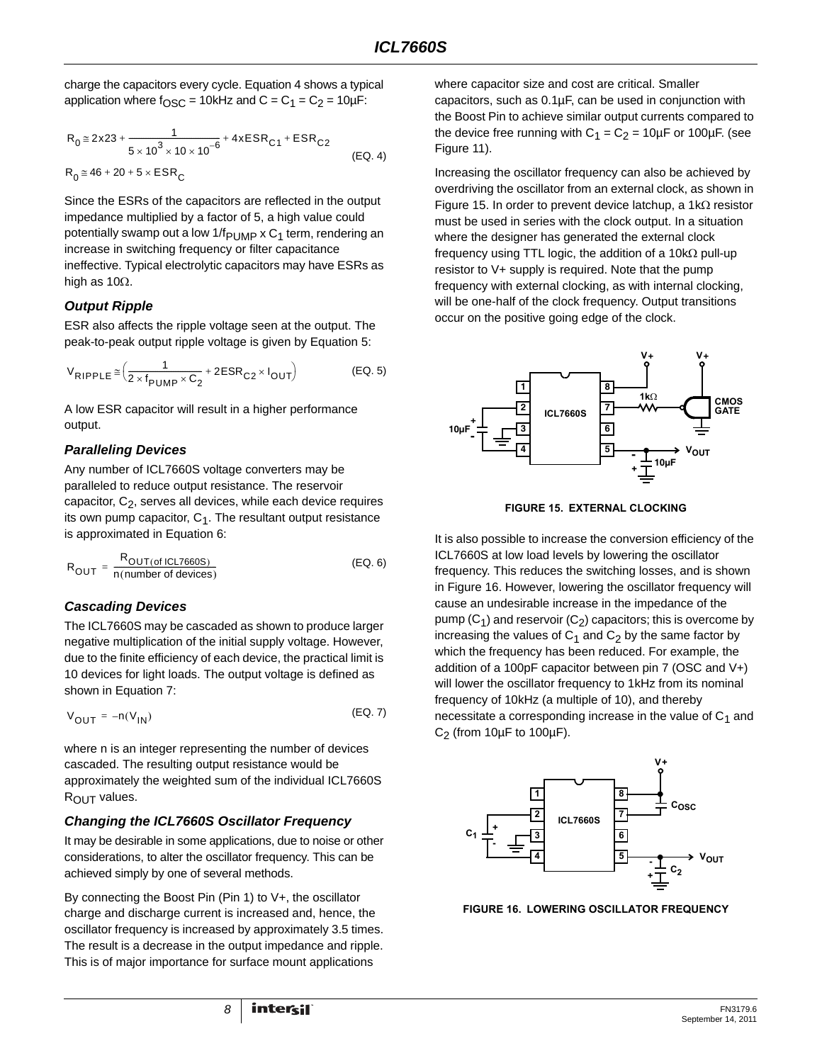charge the capacitors every cycle. Equation [4](#page-7-0) shows a typical application where  $f_{\text{OSC}} = 10$ kHz and  $C = C_1 = C_2 = 10$ µF:

$$
R_0 \approx 2x23 + \frac{1}{5 \times 10^3 \times 10 \times 10^{-6}} + 4xESR_{C1} + ESR_{C2}
$$
  
\n
$$
R_0 \approx 46 + 20 + 5 \times ESR_C
$$
 (EQ. 4)

Since the ESRs of the capacitors are reflected in the output impedance multiplied by a factor of 5, a high value could potentially swamp out a low  $1/f_{\text{PUMP}} \times C_1$  term, rendering an increase in switching frequency or filter capacitance ineffective. Typical electrolytic capacitors may have ESRs as high as 10Ω.

# *Output Ripple*

ESR also affects the ripple voltage seen at the output. The peak-to-peak output ripple voltage is given by Equation [5](#page-7-1):

$$
V_{\text{RIPPLE}} \cong \left(\frac{1}{2 \times f_{\text{PUMP}} \times C_2} + 2\text{ESR}_{C2} \times I_{\text{OUT}}\right) \tag{Eq. 5}
$$

A low ESR capacitor will result in a higher performance output.

# *Paralleling Devices*

Any number of ICL7660S voltage converters may be paralleled to reduce output resistance. The reservoir capacitor,  $C_2$ , serves all devices, while each device requires its own pump capacitor,  $C_1$ . The resultant output resistance is approximated in Equation [6](#page-7-2):

$$
R_{OUT} = \frac{R_{OUT(of ICLT660S)}}{n(number of devices)}
$$
 (EQ. 6)

# *Cascading Devices*

The ICL7660S may be cascaded as shown to produce larger negative multiplication of the initial supply voltage. However, due to the finite efficiency of each device, the practical limit is 10 devices for light loads. The output voltage is defined as shown in Equation [7:](#page-7-3)

$$
V_{\text{OUT}} = -n(V_{\text{IN}}) \tag{Eq. 7}
$$

where n is an integer representing the number of devices cascaded. The resulting output resistance would be approximately the weighted sum of the individual ICL7660S R<sub>OUT</sub> values.

# *Changing the ICL7660S Oscillator Frequency*

It may be desirable in some applications, due to noise or other considerations, to alter the oscillator frequency. This can be achieved simply by one of several methods.

By connecting the Boost Pin (Pin 1) to V+, the oscillator charge and discharge current is increased and, hence, the oscillator frequency is increased by approximately 3.5 times. The result is a decrease in the output impedance and ripple. This is of major importance for surface mount applications

where capacitor size and cost are critical. Smaller capacitors, such as 0.1µF, can be used in conjunction with the Boost Pin to achieve similar output currents compared to the device free running with  $C_1 = C_2 = 10 \mu F$  or 100 $\mu F$ . (see Figure [11](#page-5-2)).

<span id="page-7-0"></span>Increasing the oscillator frequency can also be achieved by overdriving the oscillator from an external clock, as shown in Figure [15.](#page-7-4) In order to prevent device latchup, a 1kΩ resistor must be used in series with the clock output. In a situation where the designer has generated the external clock frequency using TTL logic, the addition of a 10k $\Omega$  pull-up resistor to V+ supply is required. Note that the pump frequency with external clocking, as with internal clocking, will be one-half of the clock frequency. Output transitions occur on the positive going edge of the clock.

<span id="page-7-1"></span>

**FIGURE 15. EXTERNAL CLOCKING**

<span id="page-7-4"></span><span id="page-7-2"></span>It is also possible to increase the conversion efficiency of the ICL7660S at low load levels by lowering the oscillator frequency. This reduces the switching losses, and is shown in Figure [16](#page-7-5). However, lowering the oscillator frequency will cause an undesirable increase in the impedance of the pump  $(C_1)$  and reservoir  $(C_2)$  capacitors; this is overcome by increasing the values of  $C_1$  and  $C_2$  by the same factor by which the frequency has been reduced. For example, the addition of a 100pF capacitor between pin 7 (OSC and V+) will lower the oscillator frequency to 1kHz from its nominal frequency of 10kHz (a multiple of 10), and thereby necessitate a corresponding increase in the value of  $C_1$  and  $C_2$  (from 10 $\mu$ F to 100 $\mu$ F).

<span id="page-7-3"></span>

<span id="page-7-5"></span>**FIGURE 16. LOWERING OSCILLATOR FREQUENCY**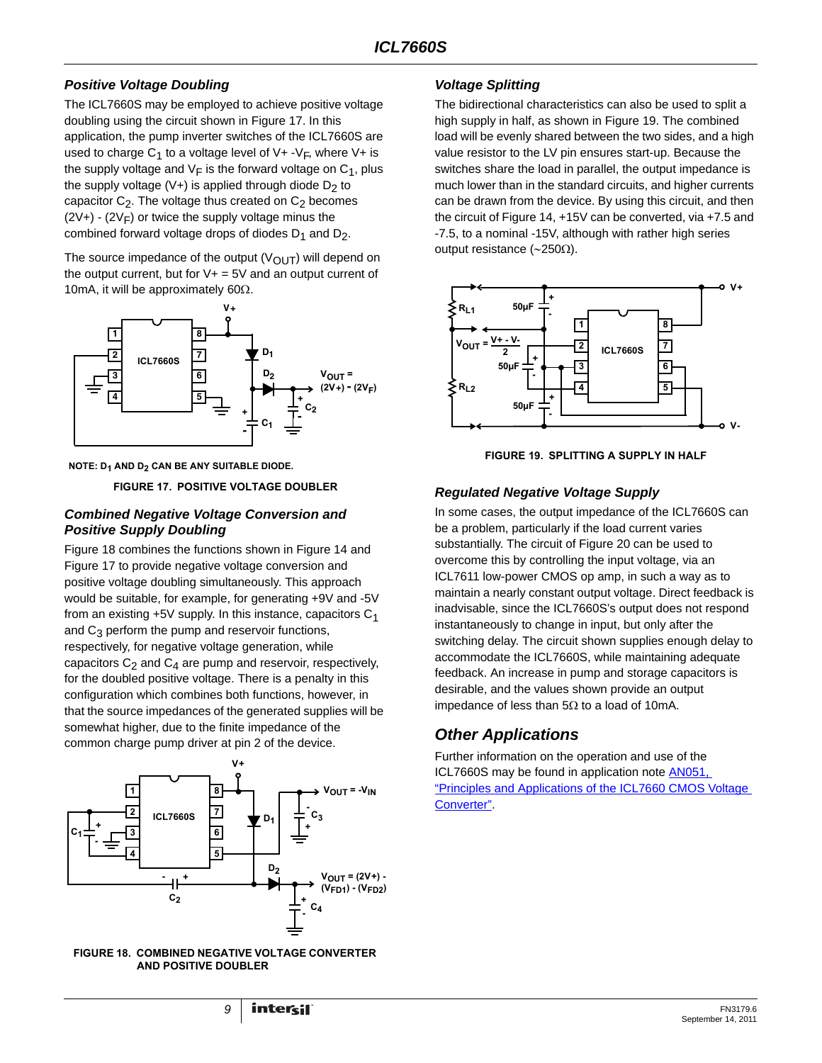# *Positive Voltage Doubling*

The ICL7660S may be employed to achieve positive voltage doubling using the circuit shown in Figure [17](#page-8-0). In this application, the pump inverter switches of the ICL7660S are used to charge  $C_1$  to a voltage level of V+ -V<sub>F</sub>, where V+ is the supply voltage and  $V_F$  is the forward voltage on  $C_1$ , plus the supply voltage (V+) is applied through diode  $D_2$  to capacitor  $C_2$ . The voltage thus created on  $C_2$  becomes  $(2V+)$  -  $(2V<sub>F</sub>)$  or twice the supply voltage minus the combined forward voltage drops of diodes  $D_1$  and  $D_2$ .

The source impedance of the output  $(V_{\text{OUT}})$  will depend on the output current, but for  $V+=5V$  and an output current of 10mA, it will be approximately 60 $\Omega$ .



<span id="page-8-0"></span>**NOTE: D1 AND D2 CAN BE ANY SUITABLE DIODE.**

**FIGURE 17. POSITIVE VOLTAGE DOUBLER**

# *Combined Negative Voltage Conversion and Positive Supply Doubling*

Figure [18](#page-8-1) combines the functions shown in Figure [14](#page-6-0) and Figure [17](#page-8-0) to provide negative voltage conversion and positive voltage doubling simultaneously. This approach would be suitable, for example, for generating +9V and -5V from an existing  $+5V$  supply. In this instance, capacitors  $C_1$ and  $C_3$  perform the pump and reservoir functions, respectively, for negative voltage generation, while capacitors  $C_2$  and  $C_4$  are pump and reservoir, respectively, for the doubled positive voltage. There is a penalty in this configuration which combines both functions, however, in that the source impedances of the generated supplies will be somewhat higher, due to the finite impedance of the common charge pump driver at pin 2 of the device.



<span id="page-8-1"></span>

# *Voltage Splitting*

The bidirectional characteristics can also be used to split a high supply in half, as shown in Figure [19.](#page-8-2) The combined load will be evenly shared between the two sides, and a high value resistor to the LV pin ensures start-up. Because the switches share the load in parallel, the output impedance is much lower than in the standard circuits, and higher currents can be drawn from the device. By using this circuit, and then the circuit of Figure [14,](#page-6-0) +15V can be converted, via +7.5 and -7.5, to a nominal -15V, although with rather high series output resistance (∼250Ω).



**FIGURE 19. SPLITTING A SUPPLY IN HALF**

# <span id="page-8-2"></span>*Regulated Negative Voltage Supply*

In some cases, the output impedance of the ICL7660S can be a problem, particularly if the load current varies substantially. The circuit of Figure [20](#page-9-0) can be used to overcome this by controlling the input voltage, via an ICL7611 low-power CMOS op amp, in such a way as to maintain a nearly constant output voltage. Direct feedback is inadvisable, since the ICL7660S's output does not respond instantaneously to change in input, but only after the switching delay. The circuit shown supplies enough delay to accommodate the ICL7660S, while maintaining adequate feedback. An increase in pump and storage capacitors is desirable, and the values shown provide an output impedance of less than  $5Ω$  to a load of 10mA.

# *Other Applications*

Further information on the operation and use of the ICL7660S may be found in application note [AN051,](http://www.intersil.com/data/an/an051.pdf)  ["Principles and Applications of the ICL7660 CMOS Voltage](http://www.intersil.com/data/an/an051.pdf)  [Converter"](http://www.intersil.com/data/an/an051.pdf).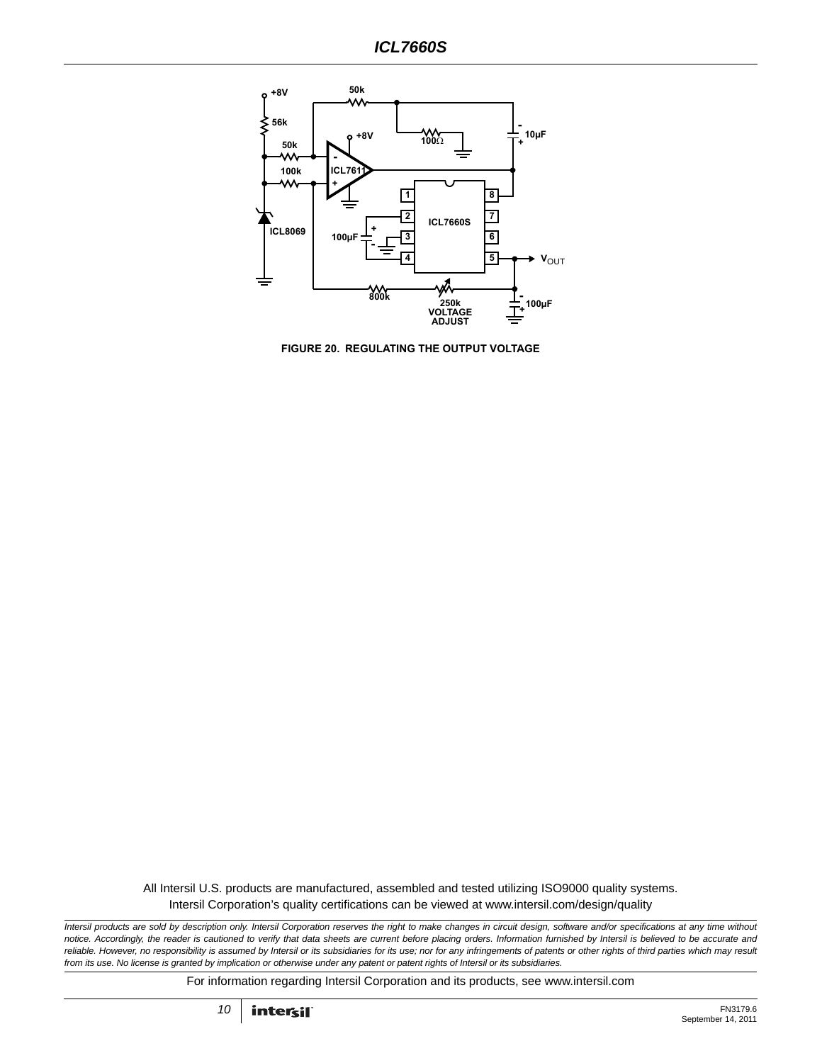

<span id="page-9-0"></span>**FIGURE 20. REGULATING THE OUTPUT VOLTAGE**

All Intersil U.S. products are manufactured, assembled and tested utilizing ISO9000 quality systems. Intersil Corporation's quality certifications can be viewed at www.intersil.com/design/quality

*Intersil products are sold by description only. Intersil Corporation reserves the right to make changes in circuit design, software and/or specifications at any time without notice. Accordingly, the reader is cautioned to verify that data sheets are current before placing orders. Information furnished by Intersil is believed to be accurate and reliable. However, no responsibility is assumed by Intersil or its subsidiaries for its use; nor for any infringements of patents or other rights of third parties which may result from its use. No license is granted by implication or otherwise under any patent or patent rights of Intersil or its subsidiaries.*

For information regarding Intersil Corporation and its products, see www.intersil.com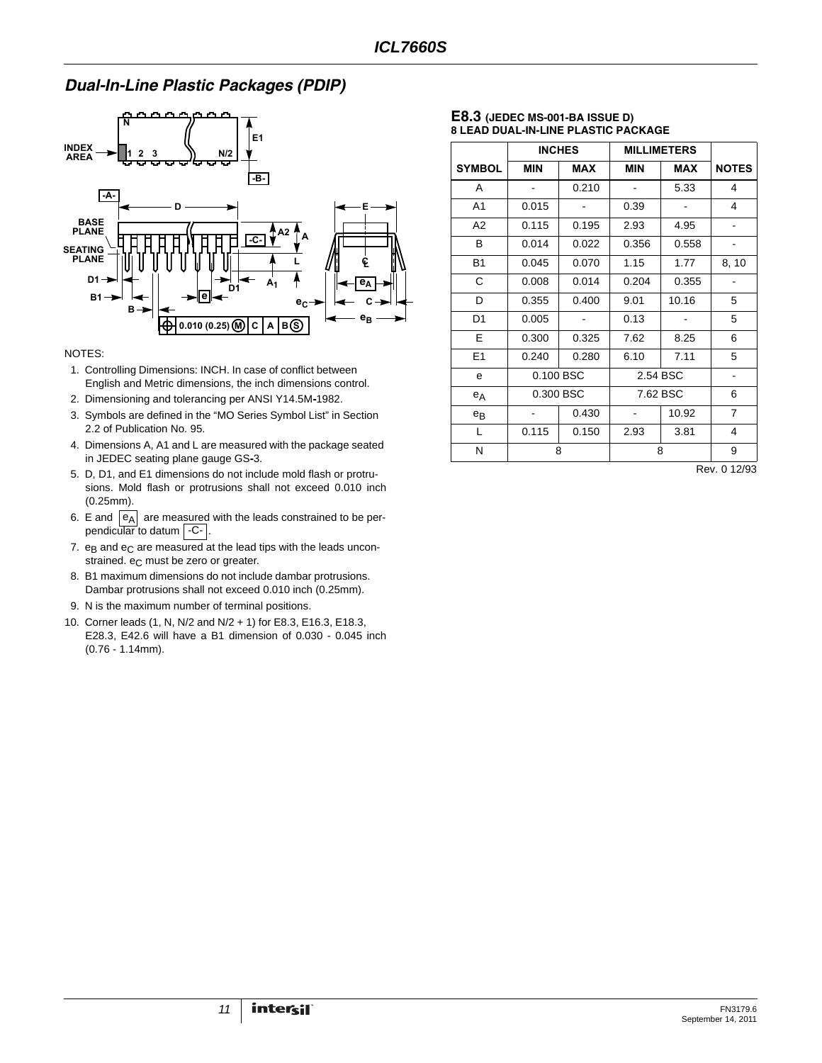# *Dual-In-Line Plastic Packages (PDIP)*



#### NOTES:

- 1. Controlling Dimensions: INCH. In case of conflict between English and Metric dimensions, the inch dimensions control.
- 2. Dimensioning and tolerancing per ANSI Y14.5M**-**1982.
- 3. Symbols are defined in the "MO Series Symbol List" in Section 2.2 of Publication No. 95.
- 4. Dimensions A, A1 and L are measured with the package seated in JEDEC seating plane gauge GS**-**3.
- 5. D, D1, and E1 dimensions do not include mold flash or protrusions. Mold flash or protrusions shall not exceed 0.010 inch (0.25mm).
- 6. E and  $|e_A|$  are measured with the leads constrained to be perpendicular to datum | -C- |.
- 7.  $e_B$  and  $e_C$  are measured at the lead tips with the leads unconstrained. e<sub>C</sub> must be zero or greater.
- 8. B1 maximum dimensions do not include dambar protrusions. Dambar protrusions shall not exceed 0.010 inch (0.25mm).
- 9. N is the maximum number of terminal positions.
- 10. Corner leads (1, N, N/2 and N/2 + 1) for E8.3, E16.3, E18.3, E28.3, E42.6 will have a B1 dimension of 0.030 - 0.045 inch (0.76 - 1.14mm).

#### **E8.3 (JEDEC MS-001-BA ISSUE D) 8 LEAD DUAL-IN-LINE PLASTIC PACKAGE**

|                |            | <b>INCHES</b> | <b>MILLIMETERS</b> |       |                |
|----------------|------------|---------------|--------------------|-------|----------------|
| <b>SYMBOL</b>  | <b>MIN</b> | <b>MAX</b>    | <b>MIN</b>         | MAX   | <b>NOTES</b>   |
| A              |            | 0.210         |                    | 5.33  | 4              |
| A <sub>1</sub> | 0.015      |               | 0.39               |       | 4              |
| A2             | 0.115      | 0.195         | 2.93               | 4.95  |                |
| B              | 0.014      | 0.022         | 0.356              | 0.558 |                |
| <b>B1</b>      | 0.045      | 0.070         | 1.15               | 1.77  | 8, 10          |
| С              | 0.008      | 0.014         | 0.204              | 0.355 |                |
| D              | 0.355      | 0.400         | 9.01               | 10.16 | 5              |
| D <sub>1</sub> | 0.005      |               | 0.13               |       | 5              |
| E.             | 0.300      | 0.325         | 7.62               | 8.25  | 6              |
| E1             | 0.240      | 0.280         | 6.10               | 7.11  | 5              |
| e              | 0.100 BSC  |               | 2.54 BSC           |       |                |
| $e_A$          | 0.300 BSC  |               | 7.62 BSC           |       | 6              |
| $e_{B}$        |            | 0.430         |                    | 10.92 | $\overline{7}$ |
| L              | 0.115      | 0.150         | 2.93               | 3.81  | 4              |
| Ν              | 8          |               | 8                  |       | 9              |

Rev. 0 12/93